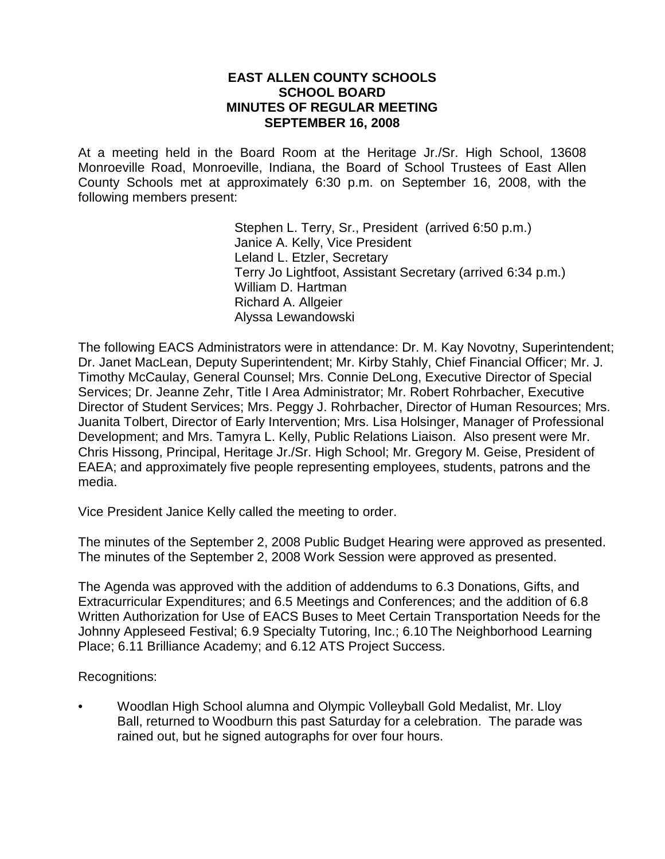#### **EAST ALLEN COUNTY SCHOOLS SCHOOL BOARD MINUTES OF REGULAR MEETING SEPTEMBER 16, 2008**

At a meeting held in the Board Room at the Heritage Jr./Sr. High School, 13608 Monroeville Road, Monroeville, Indiana, the Board of School Trustees of East Allen County Schools met at approximately 6:30 p.m. on September 16, 2008, with the following members present:

> Stephen L. Terry, Sr., President (arrived 6:50 p.m.) Janice A. Kelly, Vice President Leland L. Etzler, Secretary Terry Jo Lightfoot, Assistant Secretary (arrived 6:34 p.m.) William D. Hartman Richard A. Allgeier Alyssa Lewandowski

The following EACS Administrators were in attendance: Dr. M. Kay Novotny, Superintendent; Dr. Janet MacLean, Deputy Superintendent; Mr. Kirby Stahly, Chief Financial Officer; Mr. J. Timothy McCaulay, General Counsel; Mrs. Connie DeLong, Executive Director of Special Services; Dr. Jeanne Zehr, Title I Area Administrator; Mr. Robert Rohrbacher, Executive Director of Student Services; Mrs. Peggy J. Rohrbacher, Director of Human Resources; Mrs. Juanita Tolbert, Director of Early Intervention; Mrs. Lisa Holsinger, Manager of Professional Development; and Mrs. Tamyra L. Kelly, Public Relations Liaison. Also present were Mr. Chris Hissong, Principal, Heritage Jr./Sr. High School; Mr. Gregory M. Geise, President of EAEA; and approximately five people representing employees, students, patrons and the media.

Vice President Janice Kelly called the meeting to order.

The minutes of the September 2, 2008 Public Budget Hearing were approved as presented. The minutes of the September 2, 2008 Work Session were approved as presented.

The Agenda was approved with the addition of addendums to 6.3 Donations, Gifts, and Extracurricular Expenditures; and 6.5 Meetings and Conferences; and the addition of 6.8 Written Authorization for Use of EACS Buses to Meet Certain Transportation Needs for the Johnny Appleseed Festival; 6.9 Specialty Tutoring, Inc.; 6.10 The Neighborhood Learning Place; 6.11 Brilliance Academy; and 6.12 ATS Project Success.

Recognitions:

• Woodlan High School alumna and Olympic Volleyball Gold Medalist, Mr. Lloy Ball, returned to Woodburn this past Saturday for a celebration. The parade was rained out, but he signed autographs for over four hours.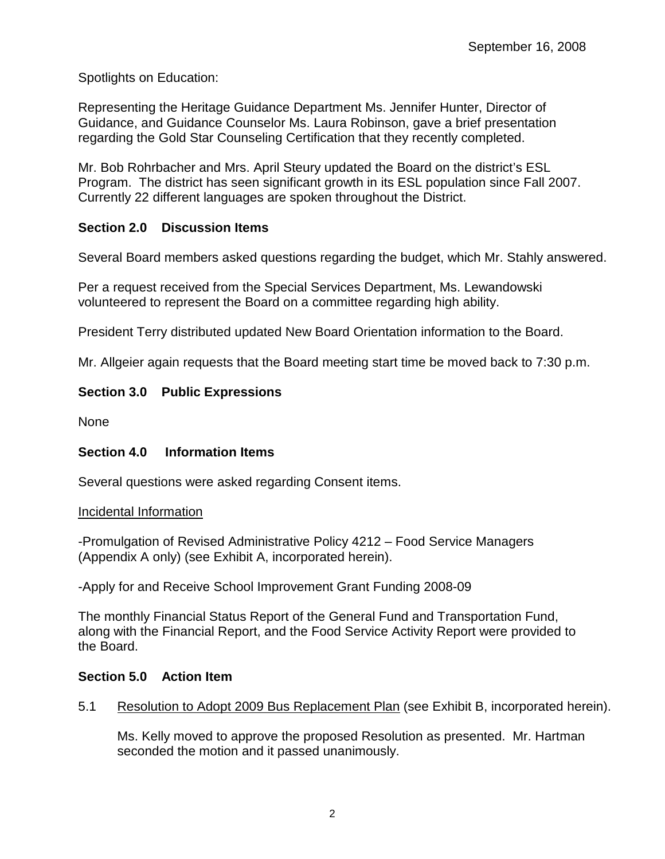Spotlights on Education:

Representing the Heritage Guidance Department Ms. Jennifer Hunter, Director of Guidance, and Guidance Counselor Ms. Laura Robinson, gave a brief presentation regarding the Gold Star Counseling Certification that they recently completed.

Mr. Bob Rohrbacher and Mrs. April Steury updated the Board on the district's ESL Program. The district has seen significant growth in its ESL population since Fall 2007. Currently 22 different languages are spoken throughout the District.

# **Section 2.0 Discussion Items**

Several Board members asked questions regarding the budget, which Mr. Stahly answered.

Per a request received from the Special Services Department, Ms. Lewandowski volunteered to represent the Board on a committee regarding high ability.

President Terry distributed updated New Board Orientation information to the Board.

Mr. Allgeier again requests that the Board meeting start time be moved back to 7:30 p.m.

# **Section 3.0 Public Expressions**

None

# **Section 4.0 Information Items**

Several questions were asked regarding Consent items.

### Incidental Information

-Promulgation of Revised Administrative Policy 4212 – Food Service Managers (Appendix A only) (see Exhibit A, incorporated herein).

-Apply for and Receive School Improvement Grant Funding 2008-09

The monthly Financial Status Report of the General Fund and Transportation Fund, along with the Financial Report, and the Food Service Activity Report were provided to the Board.

# **Section 5.0 Action Item**

5.1 Resolution to Adopt 2009 Bus Replacement Plan (see Exhibit B, incorporated herein).

Ms. Kelly moved to approve the proposed Resolution as presented. Mr. Hartman seconded the motion and it passed unanimously.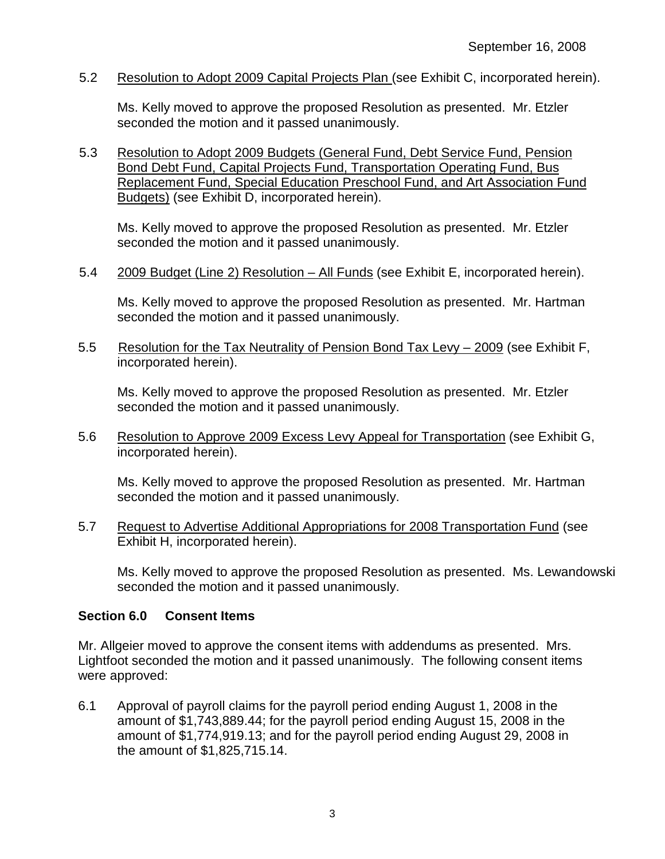5.2 Resolution to Adopt 2009 Capital Projects Plan (see Exhibit C, incorporated herein).

Ms. Kelly moved to approve the proposed Resolution as presented. Mr. Etzler seconded the motion and it passed unanimously.

5.3 Resolution to Adopt 2009 Budgets (General Fund, Debt Service Fund, Pension Bond Debt Fund, Capital Projects Fund, Transportation Operating Fund, Bus Replacement Fund, Special Education Preschool Fund, and Art Association Fund Budgets) (see Exhibit D, incorporated herein).

Ms. Kelly moved to approve the proposed Resolution as presented. Mr. Etzler seconded the motion and it passed unanimously.

5.4 2009 Budget (Line 2) Resolution – All Funds (see Exhibit E, incorporated herein).

Ms. Kelly moved to approve the proposed Resolution as presented. Mr. Hartman seconded the motion and it passed unanimously.

5.5 Resolution for the Tax Neutrality of Pension Bond Tax Levy – 2009 (see Exhibit F, incorporated herein).

Ms. Kelly moved to approve the proposed Resolution as presented. Mr. Etzler seconded the motion and it passed unanimously.

5.6 Resolution to Approve 2009 Excess Levy Appeal for Transportation (see Exhibit G, incorporated herein).

Ms. Kelly moved to approve the proposed Resolution as presented. Mr. Hartman seconded the motion and it passed unanimously.

5.7 Request to Advertise Additional Appropriations for 2008 Transportation Fund (see Exhibit H, incorporated herein).

Ms. Kelly moved to approve the proposed Resolution as presented. Ms. Lewandowski seconded the motion and it passed unanimously.

### **Section 6.0 Consent Items**

Mr. Allgeier moved to approve the consent items with addendums as presented. Mrs. Lightfoot seconded the motion and it passed unanimously. The following consent items were approved:

6.1 Approval of payroll claims for the payroll period ending August 1, 2008 in the amount of \$1,743,889.44; for the payroll period ending August 15, 2008 in the amount of \$1,774,919.13; and for the payroll period ending August 29, 2008 in the amount of \$1,825,715.14.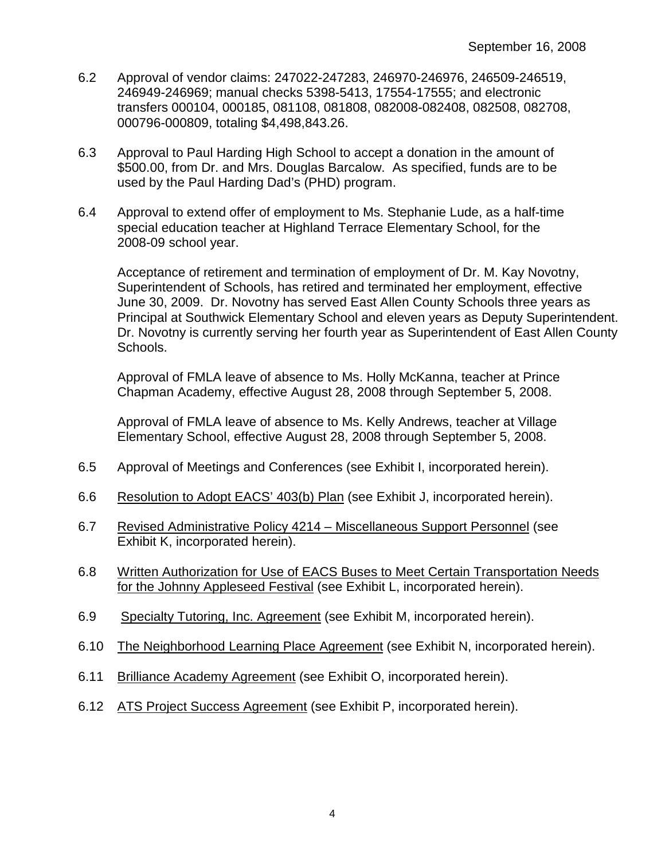- 6.2 Approval of vendor claims: 247022-247283, 246970-246976, 246509-246519, 246949-246969; manual checks 5398-5413, 17554-17555; and electronic transfers 000104, 000185, 081108, 081808, 082008-082408, 082508, 082708, 000796-000809, totaling \$4,498,843.26.
- 6.3 Approval to Paul Harding High School to accept a donation in the amount of \$500.00, from Dr. and Mrs. Douglas Barcalow. As specified, funds are to be used by the Paul Harding Dad's (PHD) program.
- 6.4 Approval to extend offer of employment to Ms. Stephanie Lude, as a half-time special education teacher at Highland Terrace Elementary School, for the 2008-09 school year.

 Acceptance of retirement and termination of employment of Dr. M. Kay Novotny, Superintendent of Schools, has retired and terminated her employment, effective June 30, 2009. Dr. Novotny has served East Allen County Schools three years as Principal at Southwick Elementary School and eleven years as Deputy Superintendent. Dr. Novotny is currently serving her fourth year as Superintendent of East Allen County Schools.

 Approval of FMLA leave of absence to Ms. Holly McKanna, teacher at Prince Chapman Academy, effective August 28, 2008 through September 5, 2008.

Approval of FMLA leave of absence to Ms. Kelly Andrews, teacher at Village Elementary School, effective August 28, 2008 through September 5, 2008.

- 6.5 Approval of Meetings and Conferences (see Exhibit I, incorporated herein).
- 6.6 Resolution to Adopt EACS' 403(b) Plan (see Exhibit J, incorporated herein).
- 6.7 Revised Administrative Policy 4214 Miscellaneous Support Personnel (see Exhibit K, incorporated herein).
- 6.8 Written Authorization for Use of EACS Buses to Meet Certain Transportation Needs for the Johnny Appleseed Festival (see Exhibit L, incorporated herein).
- 6.9 Specialty Tutoring, Inc. Agreement (see Exhibit M, incorporated herein).
- 6.10 The Neighborhood Learning Place Agreement (see Exhibit N, incorporated herein).
- 6.11 Brilliance Academy Agreement (see Exhibit O, incorporated herein).
- 6.12 ATS Project Success Agreement (see Exhibit P, incorporated herein).